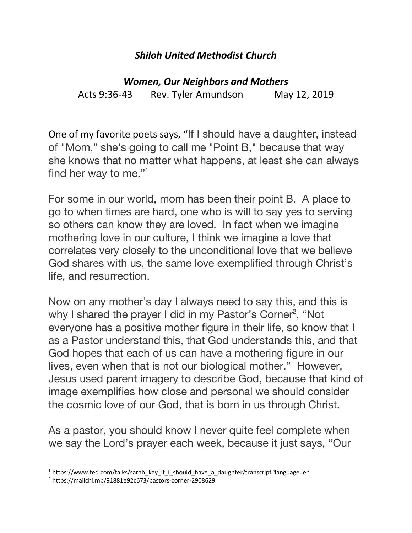## *Shiloh United Methodist Church*

*Women, Our Neighbors and Mothers* Acts 9:36-43 Rev. Tyler Amundson May 12, 2019

One of my favorite poets says, "If I should have a daughter, instead of "Mom," she's going to call me "Point B," because that way she knows that no matter what happens, at least she can always find her way to me."1

For some in our world, mom has been their point B. A place to go to when times are hard, one who is will to say yes to serving so others can know they are loved. In fact when we imagine mothering love in our culture, I think we imagine a love that correlates very closely to the unconditional love that we believe God shares with us, the same love exemplified through Christ's life, and resurrection.

Now on any mother's day I always need to say this, and this is why I shared the prayer I did in my Pastor's Corner<sup>2</sup>, "Not everyone has a positive mother figure in their life, so know that I as a Pastor understand this, that God understands this, and that God hopes that each of us can have a mothering figure in our lives, even when that is not our biological mother." However, Jesus used parent imagery to describe God, because that kind of image exemplifies how close and personal we should consider the cosmic love of our God, that is born in us through Christ.

As a pastor, you should know I never quite feel complete when we say the Lord's prayer each week, because it just says, "Our

 $1$  https://www.ted.com/talks/sarah\_kay\_if\_i\_should\_have\_a\_daughter/transcript?language=en

<sup>2</sup> https://mailchi.mp/91881e92c673/pastors-corner-2908629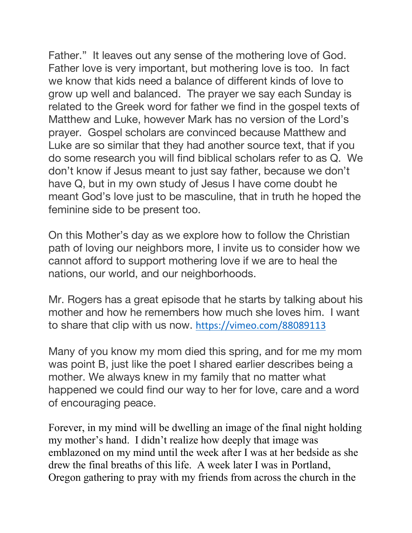Father." It leaves out any sense of the mothering love of God. Father love is very important, but mothering love is too. In fact we know that kids need a balance of different kinds of love to grow up well and balanced. The prayer we say each Sunday is related to the Greek word for father we find in the gospel texts of Matthew and Luke, however Mark has no version of the Lord's prayer. Gospel scholars are convinced because Matthew and Luke are so similar that they had another source text, that if you do some research you will find biblical scholars refer to as Q. We don't know if Jesus meant to just say father, because we don't have Q, but in my own study of Jesus I have come doubt he meant God's love just to be masculine, that in truth he hoped the feminine side to be present too.

On this Mother's day as we explore how to follow the Christian path of loving our neighbors more, I invite us to consider how we cannot afford to support mothering love if we are to heal the nations, our world, and our neighborhoods.

Mr. Rogers has a great episode that he starts by talking about his mother and how he remembers how much she loves him. I want to share that clip with us now. https://vimeo.com/88089113

Many of you know my mom died this spring, and for me my mom was point B, just like the poet I shared earlier describes being a mother. We always knew in my family that no matter what happened we could find our way to her for love, care and a word of encouraging peace.

Forever, in my mind will be dwelling an image of the final night holding my mother's hand. I didn't realize how deeply that image was emblazoned on my mind until the week after I was at her bedside as she drew the final breaths of this life. A week later I was in Portland, Oregon gathering to pray with my friends from across the church in the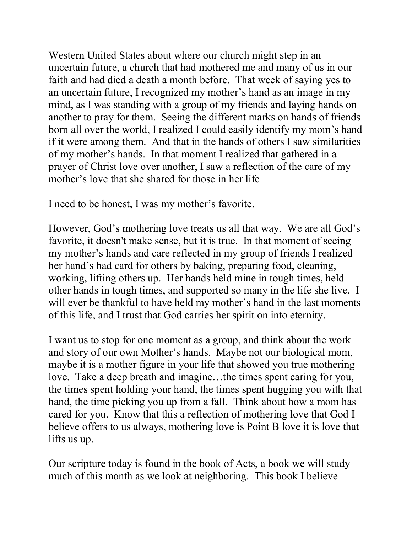Western United States about where our church might step in an uncertain future, a church that had mothered me and many of us in our faith and had died a death a month before. That week of saying yes to an uncertain future, I recognized my mother's hand as an image in my mind, as I was standing with a group of my friends and laying hands on another to pray for them. Seeing the different marks on hands of friends born all over the world, I realized I could easily identify my mom's hand if it were among them. And that in the hands of others I saw similarities of my mother's hands. In that moment I realized that gathered in a prayer of Christ love over another, I saw a reflection of the care of my mother's love that she shared for those in her life

I need to be honest, I was my mother's favorite.

However, God's mothering love treats us all that way. We are all God's favorite, it doesn't make sense, but it is true. In that moment of seeing my mother's hands and care reflected in my group of friends I realized her hand's had card for others by baking, preparing food, cleaning, working, lifting others up. Her hands held mine in tough times, held other hands in tough times, and supported so many in the life she live. I will ever be thankful to have held my mother's hand in the last moments of this life, and I trust that God carries her spirit on into eternity.

I want us to stop for one moment as a group, and think about the work and story of our own Mother's hands. Maybe not our biological mom, maybe it is a mother figure in your life that showed you true mothering love. Take a deep breath and imagine…the times spent caring for you, the times spent holding your hand, the times spent hugging you with that hand, the time picking you up from a fall. Think about how a mom has cared for you. Know that this a reflection of mothering love that God I believe offers to us always, mothering love is Point B love it is love that lifts us up.

Our scripture today is found in the book of Acts, a book we will study much of this month as we look at neighboring. This book I believe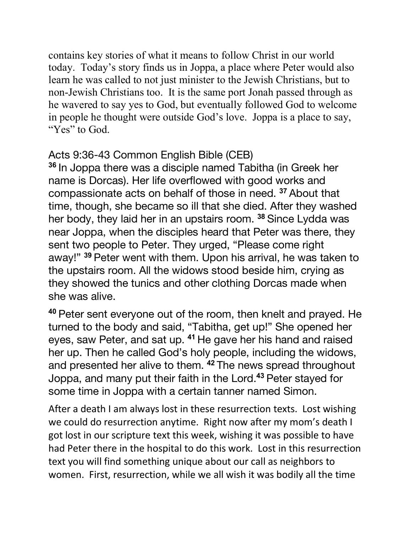contains key stories of what it means to follow Christ in our world today. Today's story finds us in Joppa, a place where Peter would also learn he was called to not just minister to the Jewish Christians, but to non-Jewish Christians too. It is the same port Jonah passed through as he wavered to say yes to God, but eventually followed God to welcome in people he thought were outside God's love. Joppa is a place to say, "Yes" to God.

## Acts 9:36-43 Common English Bible (CEB)

**<sup>36</sup>** In Joppa there was a disciple named Tabitha (in Greek her name is Dorcas). Her life overflowed with good works and compassionate acts on behalf of those in need. **<sup>37</sup>** About that time, though, she became so ill that she died. After they washed her body, they laid her in an upstairs room. **<sup>38</sup>** Since Lydda was near Joppa, when the disciples heard that Peter was there, they sent two people to Peter. They urged, "Please come right away!" **<sup>39</sup>** Peter went with them. Upon his arrival, he was taken to the upstairs room. All the widows stood beside him, crying as they showed the tunics and other clothing Dorcas made when she was alive.

**<sup>40</sup>** Peter sent everyone out of the room, then knelt and prayed. He turned to the body and said, "Tabitha, get up!" She opened her eyes, saw Peter, and sat up. **<sup>41</sup>** He gave her his hand and raised her up. Then he called God's holy people, including the widows, and presented her alive to them. **<sup>42</sup>** The news spread throughout Joppa, and many put their faith in the Lord.**<sup>43</sup>** Peter stayed for some time in Joppa with a certain tanner named Simon.

After a death I am always lost in these resurrection texts. Lost wishing we could do resurrection anytime. Right now after my mom's death I got lost in our scripture text this week, wishing it was possible to have had Peter there in the hospital to do this work. Lost in this resurrection text you will find something unique about our call as neighbors to women. First, resurrection, while we all wish it was bodily all the time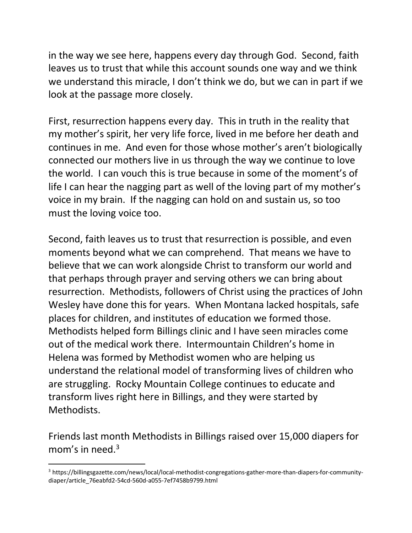in the way we see here, happens every day through God. Second, faith leaves us to trust that while this account sounds one way and we think we understand this miracle, I don't think we do, but we can in part if we look at the passage more closely.

First, resurrection happens every day. This in truth in the reality that my mother's spirit, her very life force, lived in me before her death and continues in me. And even for those whose mother's aren't biologically connected our mothers live in us through the way we continue to love the world. I can vouch this is true because in some of the moment's of life I can hear the nagging part as well of the loving part of my mother's voice in my brain. If the nagging can hold on and sustain us, so too must the loving voice too.

Second, faith leaves us to trust that resurrection is possible, and even moments beyond what we can comprehend. That means we have to believe that we can work alongside Christ to transform our world and that perhaps through prayer and serving others we can bring about resurrection. Methodists, followers of Christ using the practices of John Wesley have done this for years. When Montana lacked hospitals, safe places for children, and institutes of education we formed those. Methodists helped form Billings clinic and I have seen miracles come out of the medical work there. Intermountain Children's home in Helena was formed by Methodist women who are helping us understand the relational model of transforming lives of children who are struggling. Rocky Mountain College continues to educate and transform lives right here in Billings, and they were started by Methodists.

Friends last month Methodists in Billings raised over 15,000 diapers for mom's in need. $3$ 

 <sup>3</sup> https://billingsgazette.com/news/local/local-methodist-congregations-gather-more-than-diapers-for-communitydiaper/article\_76eabfd2-54cd-560d-a055-7ef7458b9799.html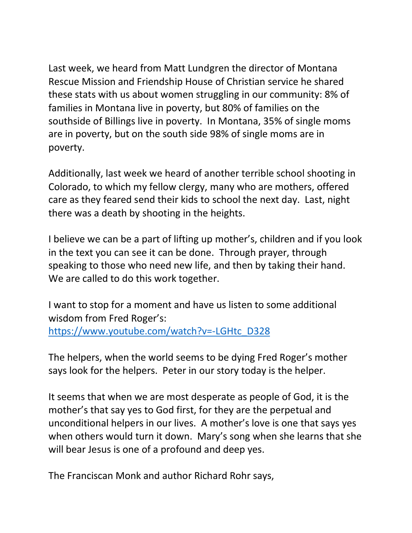Last week, we heard from Matt Lundgren the director of Montana Rescue Mission and Friendship House of Christian service he shared these stats with us about women struggling in our community: 8% of families in Montana live in poverty, but 80% of families on the southside of Billings live in poverty. In Montana, 35% of single moms are in poverty, but on the south side 98% of single moms are in poverty.

Additionally, last week we heard of another terrible school shooting in Colorado, to which my fellow clergy, many who are mothers, offered care as they feared send their kids to school the next day. Last, night there was a death by shooting in the heights.

I believe we can be a part of lifting up mother's, children and if you look in the text you can see it can be done. Through prayer, through speaking to those who need new life, and then by taking their hand. We are called to do this work together.

I want to stop for a moment and have us listen to some additional wisdom from Fred Roger's: https://www.youtube.com/watch?v=-LGHtc\_D328

The helpers, when the world seems to be dying Fred Roger's mother says look for the helpers. Peter in our story today is the helper.

It seems that when we are most desperate as people of God, it is the mother's that say yes to God first, for they are the perpetual and unconditional helpers in our lives. A mother's love is one that says yes when others would turn it down. Mary's song when she learns that she will bear Jesus is one of a profound and deep yes.

The Franciscan Monk and author Richard Rohr says,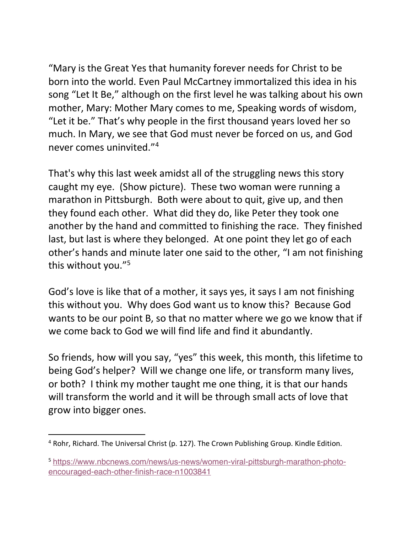"Mary is the Great Yes that humanity forever needs for Christ to be born into the world. Even Paul McCartney immortalized this idea in his song "Let It Be," although on the first level he was talking about his own mother, Mary: Mother Mary comes to me, Speaking words of wisdom, "Let it be." That's why people in the first thousand years loved her so much. In Mary, we see that God must never be forced on us, and God never comes uninvited."4

That's why this last week amidst all of the struggling news this story caught my eye. (Show picture). These two woman were running a marathon in Pittsburgh. Both were about to quit, give up, and then they found each other. What did they do, like Peter they took one another by the hand and committed to finishing the race. They finished last, but last is where they belonged. At one point they let go of each other's hands and minute later one said to the other, "I am not finishing this without you."5

God's love is like that of a mother, it says yes, it says I am not finishing this without you. Why does God want us to know this? Because God wants to be our point B, so that no matter where we go we know that if we come back to God we will find life and find it abundantly.

So friends, how will you say, "yes" this week, this month, this lifetime to being God's helper? Will we change one life, or transform many lives, or both? I think my mother taught me one thing, it is that our hands will transform the world and it will be through small acts of love that grow into bigger ones.

 <sup>4</sup> Rohr, Richard. The Universal Christ (p. 127). The Crown Publishing Group. Kindle Edition.

<sup>5</sup> https://www.nbcnews.com/news/us-news/women-viral-pittsburgh-marathon-photoencouraged-each-other-finish-race-n1003841